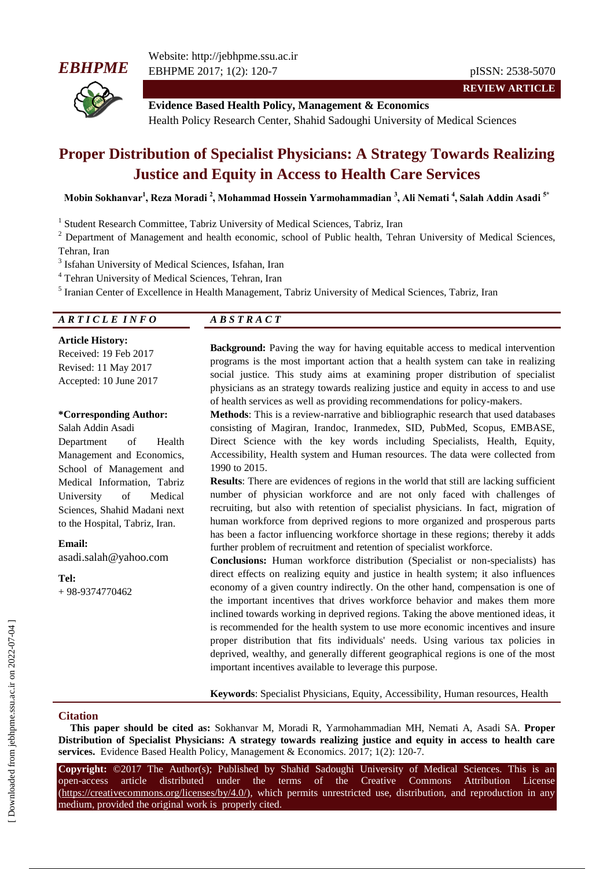# *EBHPME*



Website: http://jebhpme.ssu.ac.ir EBHPME 2017; 1(2): 120-7 pISSN: 2538-5070

**REVIEW ARTICLE**

**Evidence Based Health Policy, Management & Economics** Health Policy Research Center, Shahid Sadoughi University of Medical Sciences

# **Proper Distribution of Specialist Physicians: A Strategy Towards Realizing Justice and Equity in Access to Health Care Services**

**Mobin Sokhanvar<sup>1</sup> , Reza Moradi <sup>2</sup> , Mohammad Hossein Yarmohammadian <sup>3</sup> , Ali Nemati <sup>4</sup> , Salah Addin Asadi 5\***

<sup>1</sup> Student Research Committee, Tabriz University of Medical Sciences, Tabriz, Iran

<sup>2</sup> Department of Management and health economic, school of Public health, Tehran University of Medical Sciences, Tehran, Iran

<sup>3</sup> Isfahan University of Medical Sciences, Isfahan, Iran

<sup>4</sup> Tehran University of Medical Sciences, Tehran, Iran

<sup>5</sup> Iranian Center of Excellence in Health Management, Tabriz University of Medical Sciences, Tabriz, Iran

# *A R T I C L E I N F O A B S T R A C T*

**Article History:** Received: 19 Feb 2017 Revised: 11 May 2017 Accepted: 10 June 2017

#### **\*Corresponding Author:**

Salah Addin Asadi Department of Health Management and Economics, School of Management and Medical Information, Tabriz University of Medical Sciences, Shahid Madani next to the Hospital, Tabriz, Iran.

**Email:**

asadi.salah@yahoo.com

**Tel:** + 98-9374770462

**Background:** Paving the way for having equitable access to medical intervention programs is the most important action that a health system can take in realizing social justice. This study aims at examining proper distribution of specialist physicians as an strategy towards realizing justice and equity in access to and use of health services as well as providing recommendations for policy-makers.

**Methods**: This is a review-narrative and bibliographic research that used databases consisting of Magiran, Irandoc, Iranmedex, SID, PubMed, Scopus, EMBASE, Direct Science with the key words including Specialists, Health, Equity, Accessibility, Health system and Human resources. The data were collected from 1990 to 2015.

**Results**: There are evidences of regions in the world that still are lacking sufficient number of physician workforce and are not only faced with challenges of recruiting, but also with retention of specialist physicians. In fact, migration of human workforce from deprived regions to more organized and prosperous parts has been a factor influencing workforce shortage in these regions; thereby it adds further problem of recruitment and retention of specialist workforce.

**Conclusions:** Human workforce distribution (Specialist or non-specialists) has direct effects on realizing equity and justice in health system; it also influences economy of a given country indirectly. On the other hand, compensation is one of the important incentives that drives workforce behavior and makes them more inclined towards working in deprived regions. Taking the above mentioned ideas, it is recommended for the health system to use more economic incentives and insure proper distribution that fits individuals' needs. Using various tax policies in deprived, wealthy, and generally different geographical regions is one of the most important incentives available to leverage this purpose.

**Keywords**: Specialist Physicians, Equity, Accessibility, Human resources, Health

### **Citation**

**This paper should be cited as:** Sokhanvar M, Moradi R, Yarmohammadian MH, Nemati A, Asadi SA. **Proper Distribution of Specialist Physicians: A strategy towards realizing justice and equity in access to health care services.** Evidence Based Health Policy, Management & Economics. 2017; 1(2): 120-7.

**Copyright:** ©2017 The Author(s); Published by Shahid Sadoughi University of Medical Sciences. This is an open-access article distributed under the terms of the Creative Commons Attribution License (https://creativecommons.org/licenses/by/4.0/), which permits unrestricted use, distribution, and reproduction in any medium, provided the original work is properly cited.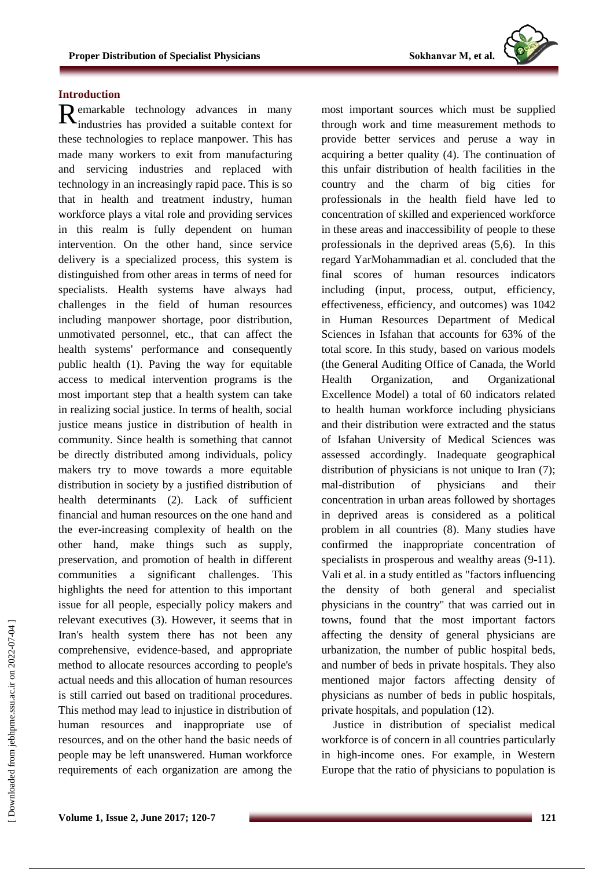

# **Introduction**

Remarkable technology advances in many<br>
industries has provided a suitable context for industries has provided a suitable context for these technologies to replace manpower. This has made many workers to exit from manufacturing and servicing industries and replaced with technology in an increasingly rapid pace. This is so that in health and treatment industry, human workforce plays a vital role and providing services in this realm is fully dependent on human intervention. On the other hand, since service delivery is a specialized process, this system is distinguished from other areas in terms of need for specialists. Health systems have always had challenges in the field of human resources including manpower shortage, poor distribution, unmotivated personnel, etc., that can affect the health systems' performance and consequently public health (1). Paving the way for equitable access to medical intervention programs is the most important step that a health system can take in realizing social justice. In terms of health, social justice means justice in distribution of health in community. Since health is something that cannot be directly distributed among individuals, policy makers try to move towards a more equitable distribution in society by a justified distribution of health determinants (2). Lack of sufficient financial and human resources on the one hand and the ever-increasing complexity of health on the other hand, make things such as supply, preservation, and promotion of health in different communities a significant challenges. This highlights the need for attention to this important issue for all people, especially policy makers and relevant executives (3). However, it seems that in Iran's health system there has not been any comprehensive, evidence-based, and appropriate method to allocate resources according to people's actual needs and this allocation of human resources is still carried out based on traditional procedures. This method may lead to injustice in distribution of human resources and inappropriate use of resources, and on the other hand the basic needs of people may be left unanswered. Human workforce requirements of each organization are among the

most important sources which must be supplied through work and time measurement methods to provide better services and peruse a way in acquiring a better quality (4). The continuation of this unfair distribution of health facilities in the country and the charm of big cities for professionals in the health field have led to concentration of skilled and experienced workforce in these areas and inaccessibility of people to these professionals in the deprived areas (5,6). In this regard YarMohammadian et al. concluded that the final scores of human resources indicators including (input, process, output, efficiency, effectiveness, efficiency, and outcomes) was 1042 in Human Resources Department of Medical Sciences in Isfahan that accounts for 63% of the total score. In this study, based on various models (the General Auditing Office of Canada, the World Health Organization, and Organizational Excellence Model) a total of 60 indicators related to health human workforce including physicians and their distribution were extracted and the status of Isfahan University of Medical Sciences was assessed accordingly. Inadequate geographical distribution of physicians is not unique to Iran  $(7)$ ; mal-distribution of physicians and their concentration in urban areas followed by shortages in deprived areas is considered as a political problem in all countries (8). Many studies have confirmed the inappropriate concentration of specialists in prosperous and wealthy areas (9-11). Vali et al. in a study entitled as "factors influencing the density of both general and specialist physicians in the country" that was carried out in towns, found that the most important factors affecting the density of general physicians are urbanization, the number of public hospital beds, and number of beds in private hospitals. They also mentioned major factors affecting density of physicians as number of beds in public hospitals, private hospitals, and population (12).

Justice in distribution of specialist medical workforce is of concern in all countries particularly in high-income ones. For example, in Western Europe that the ratio of physicians to population is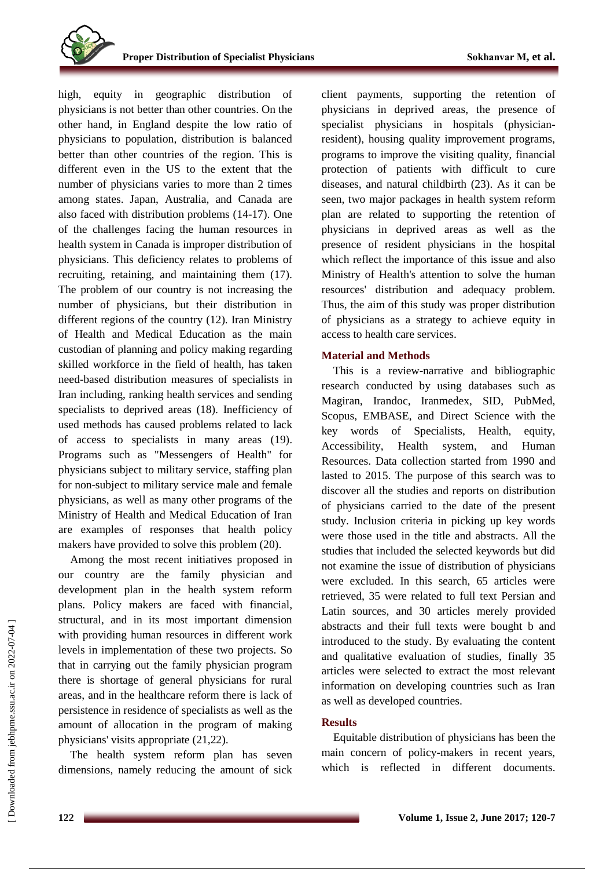high, equity in geographic distribution of physicians is not better than other countries. On the other hand, in England despite the low ratio of physicians to population, distribution is balanced better than other countries of the region. This is different even in the US to the extent that the number of physicians varies to more than 2 times among states. Japan, Australia, and Canada are also faced with distribution problems (14-17). One of the challenges facing the human resources in health system in Canada is improper distribution of physicians. This deficiency relates to problems of recruiting, retaining, and maintaining them (17). The problem of our country is not increasing the number of physicians, but their distribution in different regions of the country (12). Iran Ministry of Health and Medical Education as the main custodian of planning and policy making regarding skilled workforce in the field of health, has taken need-based distribution measures of specialists in Iran including, ranking health services and sending specialists to deprived areas (18). Inefficiency of used methods has caused problems related to lack of access to specialists in many areas (19). Programs such as "Messengers of Health" for physicians subject to military service, staffing plan for non-subject to military service male and female physicians, as well as many other programs of the Ministry of Health and Medical Education of Iran are examples of responses that health policy makers have provided to solve this problem (20).

Among the most recent initiatives proposed in our country are the family physician and development plan in the health system reform plans. Policy makers are faced with financial, structural, and in its most important dimension with providing human resources in different work levels in implementation of these two projects. So that in carrying out the family physician program there is shortage of general physicians for rural areas, and in the healthcare reform there is lack of persistence in residence of specialists as well as the amount of allocation in the program of making physicians' visits appropriate (21,22).

The health system reform plan has seven dimensions, namely reducing the amount of sick client payments, supporting the retention of physicians in deprived areas, the presence of specialist physicians in hospitals (physicianresident), housing quality improvement programs, programs to improve the visiting quality, financial protection of patients with difficult to cure diseases, and natural childbirth (23). As it can be seen, two major packages in health system reform plan are related to supporting the retention of physicians in deprived areas as well as the presence of resident physicians in the hospital which reflect the importance of this issue and also Ministry of Health's attention to solve the human resources' distribution and adequacy problem. Thus, the aim of this study was proper distribution of physicians as a strategy to achieve equity in access to health care services.

### **Material and Methods**

This is a review-narrative and bibliographic research conducted by using databases such as Magiran, Irandoc, Iranmedex, SID, PubMed, Scopus, EMBASE, and Direct Science with the key words of Specialists, Health, equity, Accessibility, Health system, and Human Resources. Data collection started from 1990 and lasted to 2015. The purpose of this search was to discover all the studies and reports on distribution of physicians carried to the date of the present study. Inclusion criteria in picking up key words were those used in the title and abstracts. All the studies that included the selected keywords but did not examine the issue of distribution of physicians were excluded. In this search, 65 articles were retrieved, 35 were related to full text Persian and Latin sources, and 30 articles merely provided abstracts and their full texts were bought b and introduced to the study. By evaluating the content and qualitative evaluation of studies, finally 35 articles were selected to extract the most relevant information on developing countries such as Iran as well as developed countries.

# **Results**

Equitable distribution of physicians has been the main concern of policy-makers in recent years, which is reflected in different documents.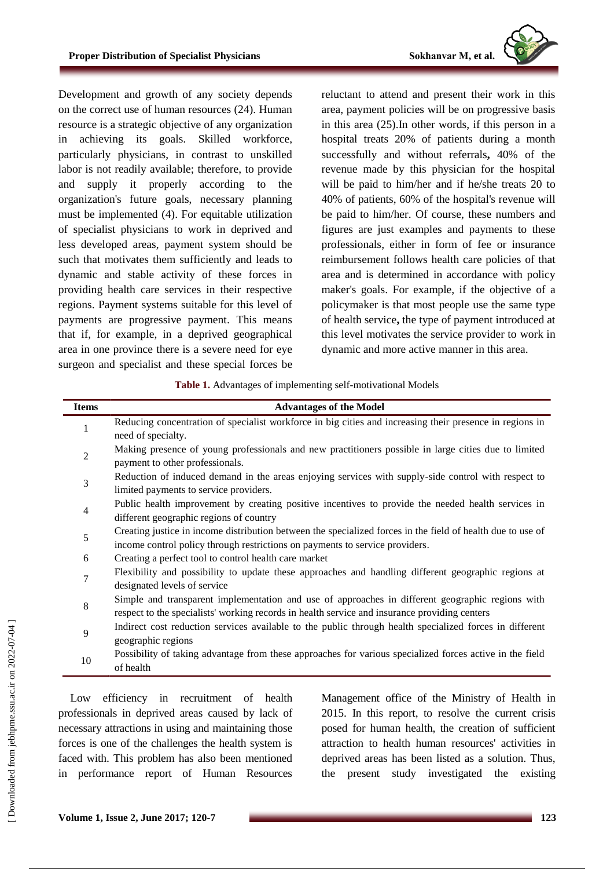Development and growth of any society depends on the correct use of human resources (24). Human resource is a strategic objective of any organization in achieving its goals. Skilled workforce, particularly physicians, in contrast to unskilled labor is not readily available; therefore, to provide and supply it properly according to the organization's future goals, necessary planning must be implemented (4). For equitable utilization of specialist physicians to work in deprived and less developed areas, payment system should be such that motivates them sufficiently and leads to dynamic and stable activity of these forces in providing health care services in their respective regions. Payment systems suitable for this level of payments are progressive payment. This means that if, for example, in a deprived geographical area in one province there is a severe need for eye surgeon and specialist and these special forces be reluctant to attend and present their work in this area, payment policies will be on progressive basis in this area (25).In other words, if this person in a hospital treats 20% of patients during a month successfully and without referrals**,** 40% of the revenue made by this physician for the hospital will be paid to him/her and if he/she treats 20 to 40% of patients, 60% of the hospital's revenue will be paid to him/her. Of course, these numbers and figures are just examples and payments to these professionals, either in form of fee or insurance reimbursement follows health care policies of that area and is determined in accordance with policy maker's goals. For example, if the objective of a policymaker is that most people use the same type of health service**,** the type of payment introduced at this level motivates the service provider to work in dynamic and more active manner in this area.

**Table 1.** Advantages of implementing self-motivational Models

| <b>Items</b>   | <b>Advantages of the Model</b>                                                                              |
|----------------|-------------------------------------------------------------------------------------------------------------|
| 1              | Reducing concentration of specialist workforce in big cities and increasing their presence in regions in    |
|                | need of specialty.                                                                                          |
| $\overline{2}$ | Making presence of young professionals and new practitioners possible in large cities due to limited        |
|                | payment to other professionals.                                                                             |
| 3              | Reduction of induced demand in the areas enjoying services with supply-side control with respect to         |
|                | limited payments to service providers.                                                                      |
| $\overline{4}$ | Public health improvement by creating positive incentives to provide the needed health services in          |
|                | different geographic regions of country                                                                     |
| 5              | Creating justice in income distribution between the specialized forces in the field of health due to use of |
|                | income control policy through restrictions on payments to service providers.                                |
| 6              | Creating a perfect tool to control health care market                                                       |
| 7              | Flexibility and possibility to update these approaches and handling different geographic regions at         |
|                | designated levels of service                                                                                |
| 8              | Simple and transparent implementation and use of approaches in different geographic regions with            |
|                | respect to the specialists' working records in health service and insurance providing centers               |
| 9              | Indirect cost reduction services available to the public through health specialized forces in different     |
|                | geographic regions                                                                                          |
| 10             | Possibility of taking advantage from these approaches for various specialized forces active in the field    |
|                | of health                                                                                                   |

Low efficiency in recruitment of health professionals in deprived areas caused by lack of necessary attractions in using and maintaining those forces is one of the challenges the health system is faced with. This problem has also been mentioned in performance report of Human Resources

Management office of the Ministry of Health in 2015. In this report, to resolve the current crisis posed for human health, the creation of sufficient attraction to health human resources' activities in deprived areas has been listed as a solution. Thus, the present study investigated the existing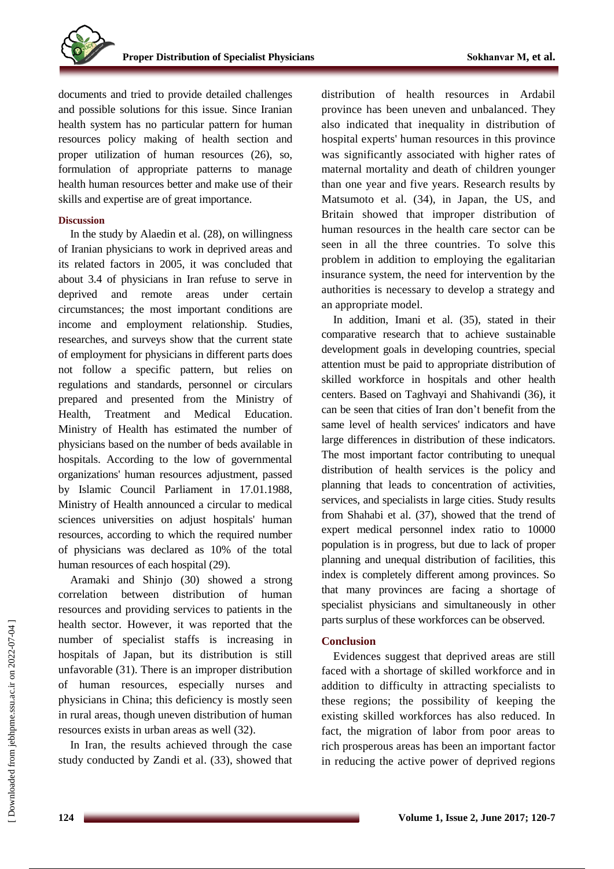documents and tried to provide detailed challenges and possible solutions for this issue. Since Iranian health system has no particular pattern for human resources policy making of health section and proper utilization of human resources (26), so, formulation of appropriate patterns to manage health human resources better and make use of their skills and expertise are of great importance.

# **Discussion**

In the study by Alaedin et al. (28), on willingness of Iranian physicians to work in deprived areas and its related factors in 2005, it was concluded that about 3.4 of physicians in Iran refuse to serve in deprived and remote areas under certain circumstances; the most important conditions are income and employment relationship. Studies, researches, and surveys show that the current state of employment for physicians in different parts does not follow a specific pattern, but relies on regulations and standards, personnel or circulars prepared and presented from the Ministry of Health, Treatment and Medical Education. Ministry of Health has estimated the number of physicians based on the number of beds available in hospitals. According to the low of governmental organizations' human resources adjustment, passed by Islamic Council Parliament in 17.01.1988, Ministry of Health announced a circular to medical sciences universities on adjust hospitals' human resources, according to which the required number of physicians was declared as 10% of the total human resources of each hospital (29).

Aramaki and Shinjo (30) showed a strong correlation between distribution of human resources and providing services to patients in the health sector. However, it was reported that the number of specialist staffs is increasing in hospitals of Japan, but its distribution is still unfavorable (31). There is an improper distribution of human resources, especially nurses and physicians in China; this deficiency is mostly seen in rural areas, though uneven distribution of human resources exists in urban areas as well (32).

In Iran, the results achieved through the case study conducted by Zandi et al. (33), showed that distribution of health resources in Ardabil province has been uneven and unbalanced. They also indicated that inequality in distribution of hospital experts' human resources in this province was significantly associated with higher rates of maternal mortality and death of children younger than one year and five years. Research results by Matsumoto et al. (34), in Japan, the US, and Britain showed that improper distribution of human resources in the health care sector can be seen in all the three countries. To solve this problem in addition to employing the egalitarian insurance system, the need for intervention by the authorities is necessary to develop a strategy and an appropriate model.

In addition, Imani et al. (35), stated in their comparative research that to achieve sustainable development goals in developing countries, special attention must be paid to appropriate distribution of skilled workforce in hospitals and other health centers. Based on Taghvayi and Shahivandi (36), it can be seen that cities of Iran don't benefit from the same level of health services' indicators and have large differences in distribution of these indicators. The most important factor contributing to unequal distribution of health services is the policy and planning that leads to concentration of activities, services, and specialists in large cities. Study results from Shahabi et al. (37), showed that the trend of expert medical personnel index ratio to 10000 population is in progress, but due to lack of proper planning and unequal distribution of facilities, this index is completely different among provinces. So that many provinces are facing a shortage of specialist physicians and simultaneously in other parts surplus of these workforces can be observed.

### **Conclusion**

Evidences suggest that deprived areas are still faced with a shortage of skilled workforce and in addition to difficulty in attracting specialists to these regions; the possibility of keeping the existing skilled workforces has also reduced. In fact, the migration of labor from poor areas to rich prosperous areas has been an important factor in reducing the active power of deprived regions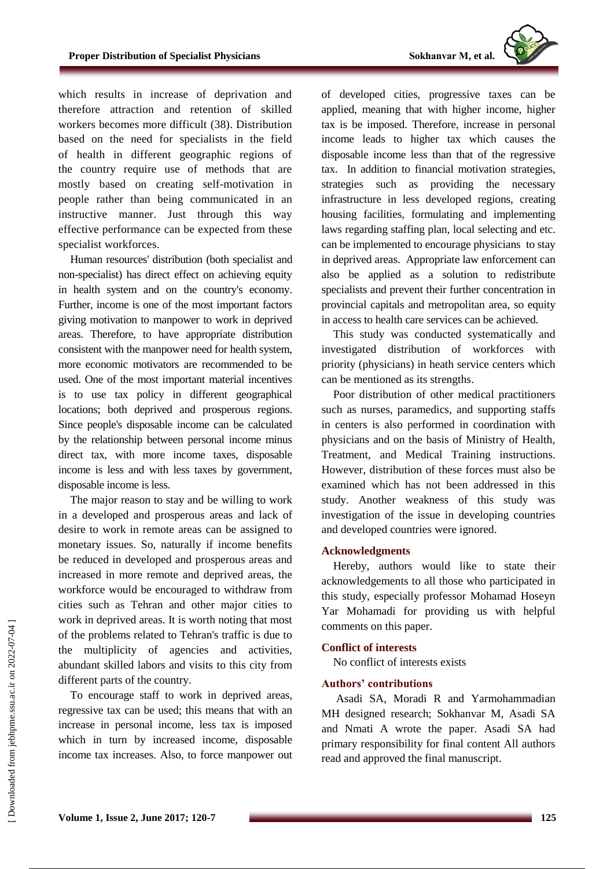which results in increase of deprivation and therefore attraction and retention of skilled workers becomes more difficult (38). Distribution based on the need for specialists in the field of health in different geographic regions of the country require use of methods that are mostly based on creating self-motivation in people rather than being communicated in an instructive manner. Just through this way effective performance can be expected from these specialist workforces.

Human resources' distribution (both specialist and non-specialist) has direct effect on achieving equity in health system and on the country's economy. Further, income is one of the most important factors giving motivation to manpower to work in deprived areas. Therefore, to have appropriate distribution consistent with the manpower need for health system, more economic motivators are recommended to be used. One of the most important material incentives is to use tax policy in different geographical locations; both deprived and prosperous regions. Since people's disposable income can be calculated by the relationship between personal income minus direct tax, with more income taxes, disposable income is less and with less taxes by government, disposable income is less.

The major reason to stay and be willing to work in a developed and prosperous areas and lack of desire to work in remote areas can be assigned to monetary issues. So, naturally if income benefits be reduced in developed and prosperous areas and increased in more remote and deprived areas, the workforce would be encouraged to withdraw from cities such as Tehran and other major cities to work in deprived areas. It is worth noting that most of the problems related to Tehran's traffic is due to the multiplicity of agencies and activities, abundant skilled labors and visits to this city from different parts of the country.

To encourage staff to work in deprived areas, regressive tax can be used; this means that with an increase in personal income, less tax is imposed which in turn by increased income, disposable income tax increases. Also, to force manpower out of developed cities, progressive taxes can be applied, meaning that with higher income, higher tax is be imposed. Therefore, increase in personal income leads to higher tax which causes the disposable income less than that of the regressive tax. In addition to financial motivation strategies, strategies such as providing the necessary infrastructure in less developed regions, creating housing facilities, formulating and implementing laws regarding staffing plan, local selecting and etc. can be implemented to encourage physicians to stay in deprived areas. Appropriate law enforcement can also be applied as a solution to redistribute specialists and prevent their further concentration in provincial capitals and metropolitan area, so equity in access to health care services can be achieved.

This study was conducted systematically and investigated distribution of workforces with priority (physicians) in heath service centers which can be mentioned as its strengths.

Poor distribution of other medical practitioners such as nurses, paramedics, and supporting staffs in centers is also performed in coordination with physicians and on the basis of Ministry of Health, Treatment, and Medical Training instructions. However, distribution of these forces must also be examined which has not been addressed in this study. Another weakness of this study was investigation of the issue in developing countries and developed countries were ignored.

# **Acknowledgments**

Hereby, authors would like to state their acknowledgements to all those who participated in this study, especially professor Mohamad Hoseyn Yar Mohamadi for providing us with helpful comments on this paper.

### **Conflict of interests**

No conflict of interests exists

# **Authors' contributions**

Asadi SA, Moradi R and Yarmohammadian MH designed research; Sokhanvar M, Asadi SA and Nmati A wrote the paper. Asadi SA had primary responsibility for final content All authors read and approved the final manuscript.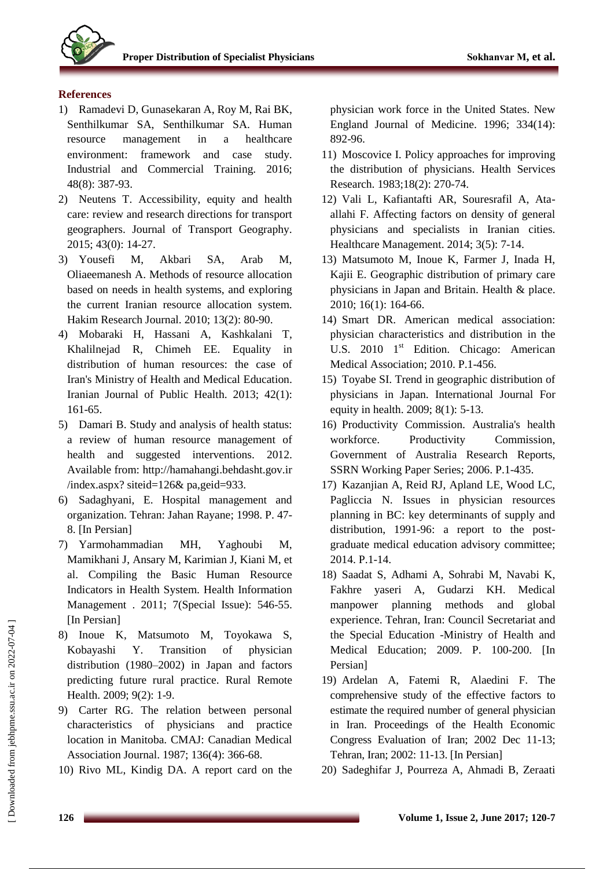

# **References**

- 1) Ramadevi D, Gunasekaran A, Roy M, Rai BK, Senthilkumar SA, Senthilkumar SA. Human resource management in a healthcare environment: framework and case study. Industrial and Commercial Training. 2016; 48(8): 387-93.
- 2) Neutens T. Accessibility, equity and health care: review and research directions for transport geographers. Journal of Transport Geography. 2015; 43(0): 14-27.
- 3) Yousefi M, Akbari SA, Arab M, Oliaeemanesh A. Methods of resource allocation based on needs in health systems, and exploring the current Iranian resource allocation system. Hakim Research Journal. 2010; 13(2): 80-90.
- 4) Mobaraki H, Hassani A, Kashkalani T, Khalilnejad R, Chimeh EE. Equality in distribution of human resources: the case of Iran's Ministry of Health and Medical Education. Iranian Journal of Public Health. 2013; 42(1): 161-65.
- 5) Damari B. Study and analysis of health status: a review of human resource management of health and suggested interventions. 2012. Available from: [http://hamahangi.behdasht.gov.ir](http://hamahangi.behdasht.gov.ir/) /index.aspx? siteid=126& pa,geid=933.
- 6) Sadaghyani, E. Hospital management and organization. Tehran: Jahan Rayane; 1998. P. 47- 8. [In Persian]
- 7) Yarmohammadian MH, Yaghoubi M, Mamikhani J, Ansary M, Karimian J, Kiani M, et al. Compiling the Basic Human Resource Indicators in Health System. Health Information Management . 2011; 7(Special Issue): 546-55. [In Persian]
- 8) Inoue K, Matsumoto M, Toyokawa S, Kobayashi Y. Transition of physician distribution (1980–2002) in Japan and factors predicting future rural practice. Rural Remote Health. 2009; 9(2): 1-9.
- 9) Carter RG. The relation between personal characteristics of physicians and practice location in Manitoba. CMAJ: Canadian Medical Association Journal. 1987; 136(4): 366-68.
- 10) Rivo ML, Kindig DA. A report card on the

physician work force in the United States. New England Journal of Medicine. 1996; 334(14): 892-96.

- 11) Moscovice I. Policy approaches for improving the distribution of physicians. Health Services Research. 1983;18(2): 270-74.
- 12) Vali L, Kafiantafti AR, Souresrafil A, Ataallahi F. Affecting factors on density of general physicians and specialists in Iranian cities. Healthcare Management. 2014; 3(5): 7-14.
- 13) Matsumoto M, Inoue K, Farmer J, Inada H, Kajii E. Geographic distribution of primary care physicians in Japan and Britain. Health & place. 2010; 16(1): 164-66.
- 14) Smart DR. American medical association: physician characteristics and distribution in the U.S. 2010 1<sup>st</sup> Edition. Chicago: American Medical Association; 2010. P.1-456.
- 15) Toyabe SI. Trend in geographic distribution of physicians in Japan. International Journal For equity in health. 2009; 8(1): 5-13.
- 16) Productivity Commission. Australia's health workforce. Productivity Commission, Government of Australia Research Reports, SSRN Working Paper Series; 2006. P.1-435.
- 17) Kazanjian A, Reid RJ, Apland LE, Wood LC, Pagliccia N. Issues in physician resources planning in BC: key determinants of supply and distribution, 1991-96: a report to the postgraduate medical education advisory committee; 2014. P.1-14.
- 18) Saadat S, Adhami A, Sohrabi M, Navabi K, Fakhre yaseri A, Gudarzi KH. Medical manpower planning methods and global experience. Tehran, Iran: Council Secretariat and the Special Education -Ministry of Health and Medical Education; 2009. P. 100-200. [In Persian]
- 19) Ardelan A, Fatemi R, Alaedini F. The comprehensive study of the effective factors to estimate the required number of general physician in Iran. Proceedings of the Health Economic Congress Evaluation of Iran; 2002 Dec 11-13; Tehran, Iran; 2002: 11-13. [In Persian]
- 20) Sadeghifar J, Pourreza A, Ahmadi B, Zeraati